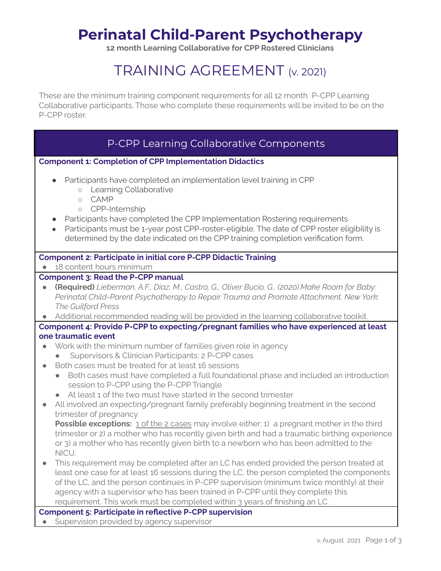# **Perinatal Child-Parent Psychotherapy**

**12 month Learning Collaborative for CPP Rostered Clinicians**

# TRAINING AGREEMENT (v. 2021)

These are the minimum training component requirements for all 12 month P-CPP Learning Collaborative participants. Those who complete these requirements will be invited to be on the P-CPP roster.

# P-CPP Learning Collaborative Components

#### **Component 1: Completion of CPP Implementation Didactics**

- Participants have completed an implementation level training in CPP
	- Learning Collaborative
	- CAMP
	- CPP-Internship
- Participants have completed the CPP Implementation Rostering requirements
- Participants must be 1-year post CPP-roster-eligible. The date of CPP roster eligibility is determined by the date indicated on the CPP training completion verification form.

#### **Component 2: Participate in initial core P-CPP Didactic Training**

● 18 content hours minimum

### **Component 3: Read the P-CPP manual**

- **(Required)** *Lieberman, A.F., Diaz, M., Castro, G., Oliver Bucio, G.. (2020).Make Room for Baby: Perinatal Child-Parent Psychotherapy to Repair Trauma and Promote Attachment. New York: The Guilford Press*
- Additional recommended reading will be provided in the learning collaborative toolkit.
- **Component 4: Provide P-CPP to expecting/pregnant families who have experienced at least one traumatic event**
- Work with the minimum number of families given role in agency
	- Supervisors & Clinician Participants: 2 P-CPP cases
- Both cases must be treated for at least 16 sessions
	- Both cases must have completed a full foundational phase and included an introduction session to P-CPP using the P-CPP Triangle
	- At least 1 of the two must have started in the second trimester
- All involved an expecting/pregnant family preferably beginning treatment in the second trimester of pregnancy

**Possible exceptions:** 1 of the 2 cases may involve either: 1) a pregnant mother in the third trimester or 2) a mother who has recently given birth and had a traumatic birthing experience or 3) a mother who has recently given birth to a newborn who has been admitted to the NICU.

● This requirement may be completed after an LC has ended provided the person treated at least one case for at least 16 sessions during the LC, the person completed the components of the LC, and the person continues in P-CPP supervision (minimum twice monthly) at their agency with a supervisor who has been trained in P-CPP until they complete this requirement. This work must be completed within 3 years of finishing an LC.

#### **Component 5: Participate in reflective P-CPP supervision**

• Supervision provided by agency supervisor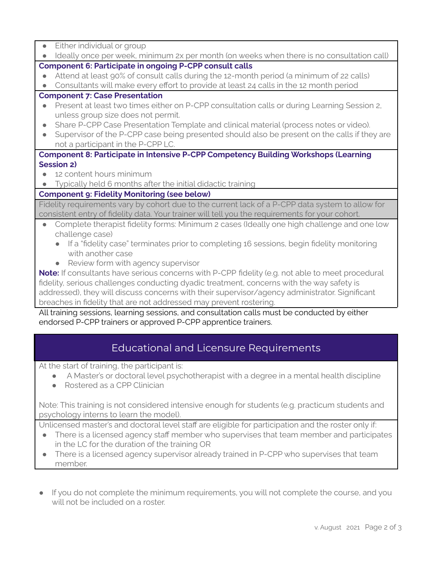Either individual or group

| • Ideally once per week, minimum 2x per month (on weeks when there is no consultation call) | Component 6: Participate in engoing <b>P-CPP</b> consult calls |  |  |  |  |  |  |
|---------------------------------------------------------------------------------------------|----------------------------------------------------------------|--|--|--|--|--|--|
|                                                                                             |                                                                |  |  |  |  |  |  |

#### **Component 6: Participate in ongoing P-CPP consult calls**

- Attend at least 90% of consult calls during the 12-month period (a minimum of 22 calls)
- Consultants will make every effort to provide at least 24 calls in the 12 month period

## **Component 7: Case Presentation**

- Present at least two times either on P-CPP consultation calls or during Learning Session 2, unless group size does not permit.
- Share P-CPP Case Presentation Template and clinical material (process notes or video).
- Supervisor of the P-CPP case being presented should also be present on the calls if they are not a participant in the P-CPP LC.

## **Component 8: Participate in Intensive P-CPP Competency Building Workshops (Learning Session 2)**

- 12 content hours minimum
- Typically held 6 months after the initial didactic training

## **Component 9: Fidelity Monitoring (see below)**

Fidelity requirements vary by cohort due to the current lack of a P-CPP data system to allow for consistent entry of fidelity data. Your trainer will tell you the requirements for your cohort.

- Complete therapist fidelity forms: Minimum 2 cases (Ideally one high challenge and one low challenge case)
	- If a "fidelity case" terminates prior to completing 16 sessions, begin fidelity monitoring with another case
	- Review form with agency supervisor

**Note:** If consultants have serious concerns with P-CPP fidelity (e.g. not able to meet procedural fidelity, serious challenges conducting dyadic treatment, concerns with the way safety is addressed), they will discuss concerns with their supervisor/agency administrator. Significant breaches in fidelity that are not addressed may prevent rostering.

All training sessions, learning sessions, and consultation calls must be conducted by either endorsed P-CPP trainers or approved P-CPP apprentice trainers.

# Educational and Licensure Requirements

At the start of training, the participant is:

- A Master's or doctoral level psychotherapist with a degree in a mental health discipline
- Rostered as a CPP Clinician

Note: This training is not considered intensive enough for students (e.g. practicum students and psychology interns to learn the model).

Unlicensed master's and doctoral level staff are eligible for participation and the roster only if:

- There is a licensed agency staff member who supervises that team member and participates in the LC for the duration of the training OR
- There is a licensed agency supervisor already trained in P-CPP who supervises that team member.
- If you do not complete the minimum requirements, you will not complete the course, and you will not be included on a roster.